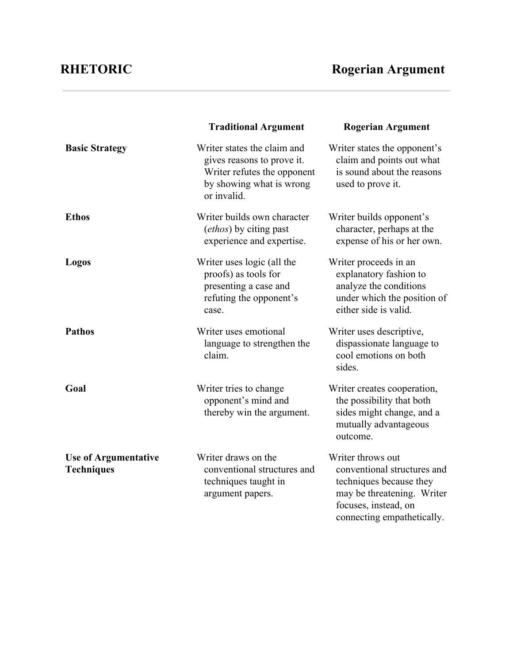|                                                  | <b>Traditional Argument</b>                                                                                                         | <b>Rogerian Argument</b>                                                                                                                                        |
|--------------------------------------------------|-------------------------------------------------------------------------------------------------------------------------------------|-----------------------------------------------------------------------------------------------------------------------------------------------------------------|
| <b>Basic Strategy</b>                            | Writer states the claim and<br>gives reasons to prove it.<br>Writer refutes the opponent<br>by showing what is wrong<br>or invalid. | Writer states the opponent's<br>claim and points out what<br>is sound about the reasons<br>used to prove it.                                                    |
| <b>Ethos</b>                                     | Writer builds own character<br>(ethos) by citing past<br>experience and expertise.                                                  | Writer builds opponent's<br>character, perhaps at the<br>expense of his or her own.                                                                             |
| Logos                                            | Writer uses logic (all the<br>proofs) as tools for<br>presenting a case and<br>refuting the opponent's<br>case.                     | Writer proceeds in an<br>explanatory fashion to<br>analyze the conditions<br>under which the position of<br>either side is valid.                               |
| <b>Pathos</b>                                    | Writer uses emotional<br>language to strengthen the<br>claim.                                                                       | Writer uses descriptive,<br>dispassionate language to<br>cool emotions on both<br>sides.                                                                        |
| Goal                                             | Writer tries to change<br>opponent's mind and<br>thereby win the argument.                                                          | Writer creates cooperation,<br>the possibility that both<br>sides might change, and a<br>mutually advantageous<br>outcome.                                      |
| <b>Use of Argumentative</b><br><b>Techniques</b> | Writer draws on the<br>conventional structures and<br>techniques taught in<br>argument papers.                                      | Writer throws out<br>conventional structures and<br>techniques because they<br>may be threatening. Writer<br>focuses, instead, on<br>connecting empathetically. |